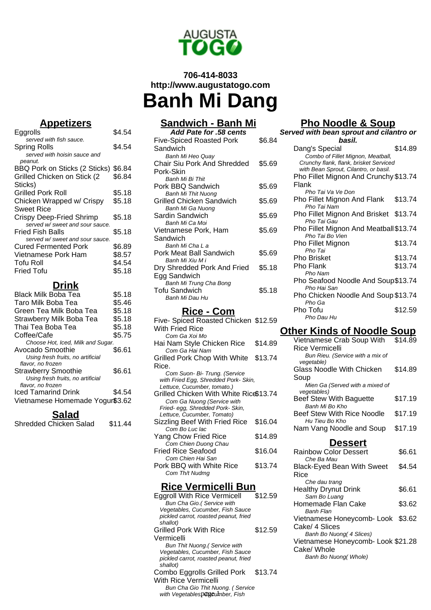

# **706-414-8033 http://www.augustatogo.com Banh Mi Dang**

## **Appetizers**

| Eggrolls                        | \$4.54 |
|---------------------------------|--------|
| served with fish sauce.         |        |
| Spring Rolls                    | \$4.54 |
| served with hoisin sauce and    |        |
| peanut.                         |        |
| BBQ Pork on Sticks (2 Sticks)   | \$6.84 |
| Grilled Chicken on Stick (2     | \$6.84 |
| Sticks)                         |        |
| Grilled Pork Roll               | \$5.18 |
| Chicken Wrapped w/ Crispy       | \$5.18 |
| Sweet Rice                      |        |
| Crispy Deep-Fried Shrimp        | \$5.18 |
| served w/ sweet and sour sauce. |        |
| Fried Fish Balls                | \$5.18 |
| served w/ sweet and sour sauce. |        |
| Cured Fermented Pork            | \$6.89 |
| Vietnamese Pork Ham             | \$8.57 |
| Tofu Roll                       | \$4.54 |
| Fried Tofu                      | \$5.18 |
|                                 |        |

## **Drink**

| Black Milk Boba Tea               | \$5.18 |
|-----------------------------------|--------|
| Taro Milk Boba Tea                | \$5.46 |
| Green Tea Milk Boba Tea           | \$5.18 |
| Strawberry Milk Boba Tea          | \$5.18 |
| Thai Tea Boba Tea                 | \$5.18 |
| Coffee/Cafe                       | \$5.75 |
| Choose Hot, Iced, Milk and Sugar. |        |
| Avocado Smoothie                  | \$6.61 |
| Using fresh fruits, no artificial |        |
| flavor, no frozen                 |        |
| <b>Strawberry Smoothie</b>        | \$6.61 |
| Using fresh fruits, no artificial |        |
| flavor, no frozen                 |        |
| <b>Iced Tamarind Drink</b>        | S4.54  |
| Vietnamese Homemade Yogur\$3.62   |        |
|                                   |        |

#### **Salad**

| Shredded Chicken Salad |  | \$11.44 |  |
|------------------------|--|---------|--|
|                        |  |         |  |

## **Sandwich - Banh Mi**

| Add Pate for .58 cents          |        |
|---------------------------------|--------|
| Five-Spiced Roasted Pork        | \$6.84 |
| Sandwich                        |        |
| Banh Mi Heo Quay                |        |
| Chair Siu Pork And Shredded     | \$5.69 |
| Pork-Skin                       |        |
| <b>Banh Mi Bi Thit</b>          |        |
| Pork BBQ Sandwich               | \$5.69 |
| Banh Mi Thit Nuong              |        |
| <b>Grilled Chicken Sandwich</b> | \$5.69 |
| Banh Mi Ga Nuong                |        |
| Sardin Sandwich                 | \$5.69 |
| Banh Mi Ca Moi                  |        |
| Vietnamese Pork, Ham            | \$5.69 |
| Sandwich                        |        |
| Banh Mi Cha La                  |        |
| Pork Meat Ball Sandwich         | \$5.69 |
| Banh Mi Xiu M i                 |        |
| Dry Shredded Pork And Fried     | \$5.18 |
| Egg Sandwich                    |        |
| Banh Mi Trung Cha Bong          |        |
| Tofu Sandwich                   | \$5.18 |
| Banh Mi Dau Hu                  |        |

### **Rice - Com**

| Five- Spiced Roasted Chicken \$12.59   |         |
|----------------------------------------|---------|
| With Fried Rice                        |         |
| Com Ga Xoi Mo                          |         |
| Hai Nam Style Chicken Rice             | \$14.89 |
| Com Ga Hai Nam                         |         |
| Grilled Pork Chop With White           | \$13.74 |
| Rice.                                  |         |
| Com Suon- Bi- Trung. (Service          |         |
| with Fried Egg, Shredded Pork-Skin,    |         |
| Lettuce, Cucumber, tomato.)            |         |
| Grilled Chicken With White Rice\$13.74 |         |
| Com Ga Nuong (Service with             |         |
| Fried- egg, Shredded Pork-Skin,        |         |
| Lettuce, Cucumber, Tomato)             |         |
| Sizzling Beef With Fried Rice          | \$16.04 |
| Com Bo Luc lac                         |         |
| Yang Chow Fried Rice                   | \$14.89 |
| Com Chien Duong Chau                   |         |
| Fried Rice Seafood                     | \$16.04 |
| Com Chien Hai San                      |         |
| Pork BBQ with White Rice               | \$13.74 |
| Com Th/t Nudmg                         |         |
|                                        |         |

#### **Rice Vermicelli Bun**

| \$12.59                          |
|----------------------------------|
|                                  |
|                                  |
|                                  |
|                                  |
| \$12.59                          |
|                                  |
|                                  |
|                                  |
|                                  |
|                                  |
| \$13.74                          |
|                                  |
| Bun Cha Gio Thit Nuong. (Service |
|                                  |
|                                  |

### **Pho Noodle & Soup**

| Served with bean sprout and cilantro or |         |  |
|-----------------------------------------|---------|--|
| basil.                                  |         |  |
| Dang's Special                          | \$14.89 |  |
| Combo of Fillet Mignon, Meatball,       |         |  |
| Crunchy flank, flank, brisket Serviced  |         |  |
| with Bean Sprout, Cilantro, or basil.   |         |  |
| Pho Fillet Mignon And Crunchy \$13.74   |         |  |
| Flank                                   |         |  |
| Pho Tai Va Ve Don                       |         |  |
| Pho Fillet Mignon And Flank             | \$13.74 |  |
| Pho Tai Nam                             |         |  |
| Pho Fillet Mignon And Brisket \$13.74   |         |  |
| Pho Tai Gau                             |         |  |
| Pho Fillet Mignon And Meatball \$13.74  |         |  |
| Pho Tai Bo Vien                         | \$13.74 |  |
| Pho Fillet Mignon<br>Pho Tai            |         |  |
| Pho Brisket                             | \$13.74 |  |
| Pho Flank                               | \$13.74 |  |
| Pho Nam                                 |         |  |
| Pho Seafood Noodle And Soup\$13.74      |         |  |
| Pho Hai San                             |         |  |
| Pho Chicken Noodle And Soup \$13.74     |         |  |
| Pho Ga                                  |         |  |
| Pho Tofu                                | \$12.59 |  |
| Pho Dau Hu                              |         |  |

## **Other Kinds of Noodle Soup**

| Vietnamese Crab Soup With                      | \$14.89 |
|------------------------------------------------|---------|
| <b>Rice Vermicelli</b>                         |         |
| Bun Rieu. (Service with a mix of<br>vegetable) |         |
| Glass Noodle With Chicken                      | \$14.89 |
| Soup                                           |         |
| Mien Ga (Served with a mixed of                |         |
| vegetables)                                    |         |
| <b>Beef Stew With Baguette</b>                 | \$17.19 |
| Banh Mi Bo Kho                                 |         |
| Beef Stew With Rice Noodle                     | \$17.19 |
| Hu Tieu Bo Kho                                 |         |
| Nam Vang Noodle and Soup                       | \$17.19 |
|                                                |         |

#### **Dessert**

| <b>Rainbow Color Dessert</b>       | \$6.61 |
|------------------------------------|--------|
| Che Ba Mau                         |        |
| <b>Black-Eyed Bean With Sweet</b>  | \$4.54 |
| Rice                               |        |
| Che dau trang                      |        |
| <b>Healthy Drynut Drink</b>        | \$6.61 |
| Sam Bo Luang                       |        |
| Homemade Flan Cake                 | \$3.62 |
| <b>Banh Flan</b>                   |        |
| Vietnamese Honeycomb-Look \$3.62   |        |
| Cake/ 4 Slices                     |        |
| Banh Bo Nuong (4 Slices)           |        |
| Vietnamese Honeycomb- Look \$21.28 |        |
| Cake/ Whole                        |        |
| Banh Bo Nuong (Whole)              |        |
|                                    |        |